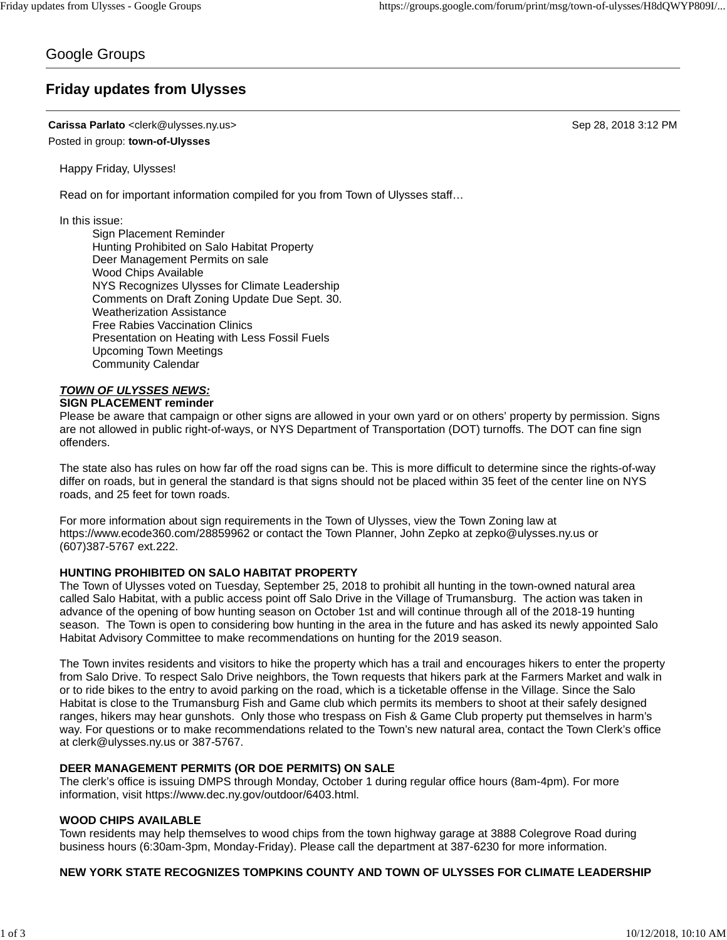# Google Groups

# **Friday updates from Ulysses**

**Carissa Parlato** <clerk@ulysses.ny.us> Sep 28, 2018 3:12 PM Posted in group: **town-of-Ulysses**

Happy Friday, Ulysses!

Read on for important information compiled for you from Town of Ulysses staff…

In this issue:

Sign Placement Reminder Hunting Prohibited on Salo Habitat Property Deer Management Permits on sale Wood Chips Available NYS Recognizes Ulysses for Climate Leadership Comments on Draft Zoning Update Due Sept. 30. Weatherization Assistance Free Rabies Vaccination Clinics Presentation on Heating with Less Fossil Fuels Upcoming Town Meetings Community Calendar

#### *TOWN OF ULYSSES NEWS:* **SIGN PLACEMENT reminder**

### Please be aware that campaign or other signs are allowed in your own yard or on others' property by permission. Signs are not allowed in public right-of-ways, or NYS Department of Transportation (DOT) turnoffs. The DOT can fine sign offenders.

The state also has rules on how far off the road signs can be. This is more difficult to determine since the rights-of-way differ on roads, but in general the standard is that signs should not be placed within 35 feet of the center line on NYS roads, and 25 feet for town roads.

For more information about sign requirements in the Town of Ulysses, view the Town Zoning law at https://www.ecode360.com/28859962 or contact the Town Planner, John Zepko at zepko@ulysses.ny.us or (607)387-5767 ext.222.

# **HUNTING PROHIBITED ON SALO HABITAT PROPERTY**

The Town of Ulysses voted on Tuesday, September 25, 2018 to prohibit all hunting in the town-owned natural area called Salo Habitat, with a public access point off Salo Drive in the Village of Trumansburg. The action was taken in advance of the opening of bow hunting season on October 1st and will continue through all of the 2018-19 hunting season. The Town is open to considering bow hunting in the area in the future and has asked its newly appointed Salo Habitat Advisory Committee to make recommendations on hunting for the 2019 season.

The Town invites residents and visitors to hike the property which has a trail and encourages hikers to enter the property from Salo Drive. To respect Salo Drive neighbors, the Town requests that hikers park at the Farmers Market and walk in or to ride bikes to the entry to avoid parking on the road, which is a ticketable offense in the Village. Since the Salo Habitat is close to the Trumansburg Fish and Game club which permits its members to shoot at their safely designed ranges, hikers may hear gunshots. Only those who trespass on Fish & Game Club property put themselves in harm's way. For questions or to make recommendations related to the Town's new natural area, contact the Town Clerk's office at clerk@ulysses.ny.us or 387-5767.

# **DEER MANAGEMENT PERMITS (OR DOE PERMITS) ON SALE**

The clerk's office is issuing DMPS through Monday, October 1 during regular office hours (8am-4pm). For more information, visit https://www.dec.ny.gov/outdoor/6403.html.

# **WOOD CHIPS AVAILABLE**

Town residents may help themselves to wood chips from the town highway garage at 3888 Colegrove Road during business hours (6:30am-3pm, Monday-Friday). Please call the department at 387-6230 for more information.

# **NEW YORK STATE RECOGNIZES TOMPKINS COUNTY AND TOWN OF ULYSSES FOR CLIMATE LEADERSHIP**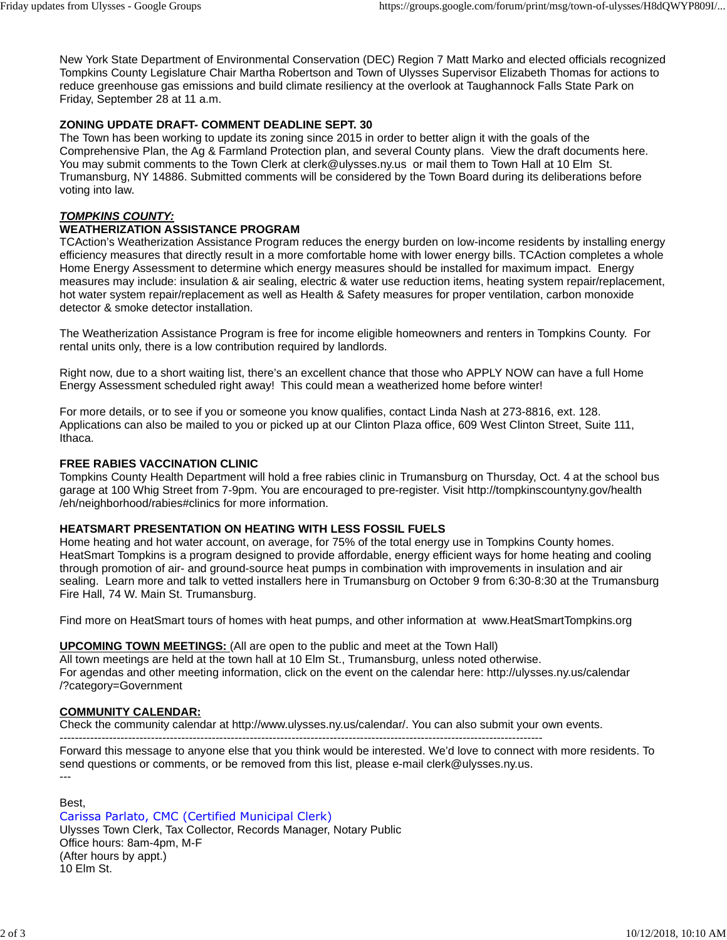New York State Department of Environmental Conservation (DEC) Region 7 Matt Marko and elected officials recognized Tompkins County Legislature Chair Martha Robertson and Town of Ulysses Supervisor Elizabeth Thomas for actions to reduce greenhouse gas emissions and build climate resiliency at the overlook at Taughannock Falls State Park on Friday, September 28 at 11 a.m.

# **ZONING UPDATE DRAFT- COMMENT DEADLINE SEPT. 30**

The Town has been working to update its zoning since 2015 in order to better align it with the goals of the Comprehensive Plan, the Ag & Farmland Protection plan, and several County plans. View the draft documents here. You may submit comments to the Town Clerk at clerk@ulysses.ny.us or mail them to Town Hall at 10 Elm St. Trumansburg, NY 14886. Submitted comments will be considered by the Town Board during its deliberations before voting into law.

## *TOMPKINS COUNTY:*

## **WEATHERIZATION ASSISTANCE PROGRAM**

TCAction's Weatherization Assistance Program reduces the energy burden on low-income residents by installing energy efficiency measures that directly result in a more comfortable home with lower energy bills. TCAction completes a whole Home Energy Assessment to determine which energy measures should be installed for maximum impact. Energy measures may include: insulation & air sealing, electric & water use reduction items, heating system repair/replacement, hot water system repair/replacement as well as Health & Safety measures for proper ventilation, carbon monoxide detector & smoke detector installation.

The Weatherization Assistance Program is free for income eligible homeowners and renters in Tompkins County. For rental units only, there is a low contribution required by landlords.

Right now, due to a short waiting list, there's an excellent chance that those who APPLY NOW can have a full Home Energy Assessment scheduled right away! This could mean a weatherized home before winter!

For more details, or to see if you or someone you know qualifies, contact Linda Nash at 273-8816, ext. 128. Applications can also be mailed to you or picked up at our Clinton Plaza office, 609 West Clinton Street, Suite 111, Ithaca.

#### **FREE RABIES VACCINATION CLINIC**

Tompkins County Health Department will hold a free rabies clinic in Trumansburg on Thursday, Oct. 4 at the school bus garage at 100 Whig Street from 7-9pm. You are encouraged to pre-register. Visit http://tompkinscountyny.gov/health /eh/neighborhood/rabies#clinics for more information.

### **HEATSMART PRESENTATION ON HEATING WITH LESS FOSSIL FUELS**

Home heating and hot water account, on average, for 75% of the total energy use in Tompkins County homes. HeatSmart Tompkins is a program designed to provide affordable, energy efficient ways for home heating and cooling through promotion of air- and ground-source heat pumps in combination with improvements in insulation and air sealing. Learn more and talk to vetted installers here in Trumansburg on October 9 from 6:30-8:30 at the Trumansburg Fire Hall, 74 W. Main St. Trumansburg.

Find more on HeatSmart tours of homes with heat pumps, and other information at www.HeatSmartTompkins.org

### **UPCOMING TOWN MEETINGS:** (All are open to the public and meet at the Town Hall)

All town meetings are held at the town hall at 10 Elm St., Trumansburg, unless noted otherwise. For agendas and other meeting information, click on the event on the calendar here: http://ulysses.ny.us/calendar /?category=Government

### **COMMUNITY CALENDAR:**

Check the community calendar at http://www.ulysses.ny.us/calendar/. You can also submit your own events.

------------------------------------------------------------------------------------------------------------------------------- Forward this message to anyone else that you think would be interested. We'd love to connect with more residents. To send questions or comments, or be removed from this list, please e-mail clerk@ulysses.ny.us. ---

### Best,

Carissa Parlato, CMC (Certified Municipal Clerk) Ulysses Town Clerk, Tax Collector, Records Manager, Notary Public Office hours: 8am-4pm, M-F (After hours by appt.) 10 Elm St.